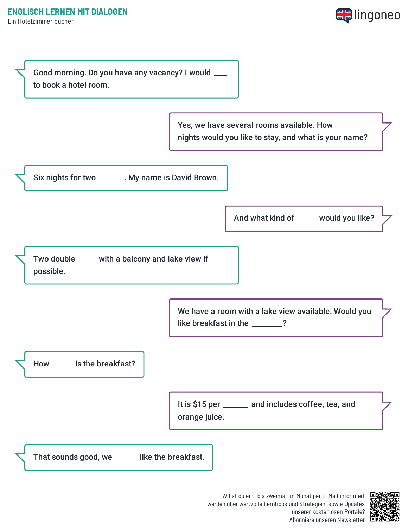



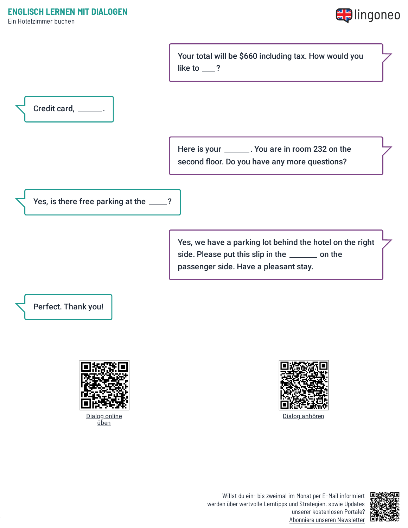Ein Hotelzimmer buchen



Your total will be \$660 including tax. How would you like to  $\_\$ ?



Here is your \_\_\_\_\_\_\_. You are in room 232 on the second floor. Do you have any more questions?

Yes, is there free parking at the \_\_\_\_?

Yes, we have a parking lot behind the hotel on the right side. Please put this slip in the \_\_\_\_\_\_ on the passenger side. Have a pleasant stay.





Dialog [anhören](https://www.lingoneo.org/wp-content/uploads/media/audio/audio-dialogue/en-de/Ein%20Hotelzimmer%20buchen%20-%20Dialog%20(%20lingoneo.org%20).mp3)